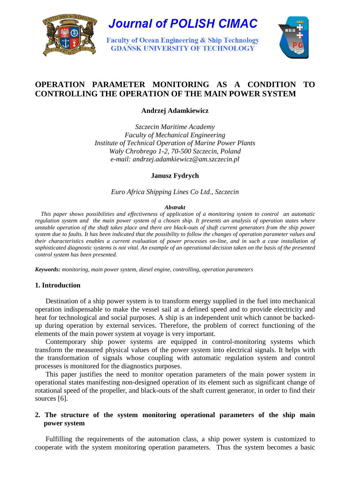

**Journal of POLISH CIMAC** 

**Faculty of Ocean Engineering & Ship Technology GDAŃSK UNIVERSITY OF TECHNOLOGY** 



# **OPERATION PARAMETER MONITORING AS A CONDITION TO CONTROLLING THE OPERATION OF THE MAIN POWER SYSTEM**

**Andrzej Adamkiewicz** 

*Szczecin Maritime Academy Faculty of Mechanical Engineering Institute of Technical Operation of Marine Power Plants Wały Chrobrego 1-2, 70-500 Szczecin, Poland e-mail: andrzej.adamkiewicz@am.szczecin.pl* 

**Janusz Fydrych** 

*Euro Africa Shipping Lines Co Ltd., Szczecin* 

## *Abstrakt*

 *This paper shows possibilities and effectiveness of application of a monitoring system to control an automatic regulation system and the main power system of a chosen ship. It presents an analysis of operation states where unstable operation of the shaft takes place and there are black-outs of shaft current generators from the ship power system due to faults. It has been indicated that the possibility to follow the changes of operation parameter values and their characteristics enables a current evaluation of power processes on-line, and in such a case installation of sophisticated diagnostic systems is not vital. An example of an operational decision taken on the basis of the presented control system has been presented.* 

*Keywords: monitoring, main power system, diesel engine, controlling, operation parameters* 

## **1. Introduction**

Destination of a ship power system is to transform energy supplied in the fuel into mechanical operation indispensable to make the vessel sail at a defined speed and to provide electricity and heat for technological and social purposes. A ship is an independent unit which cannot be backedup during operation by external services. Therefore, the problem of correct functioning of the elements of the main power system at voyage is very important.

Contemporary ship power systems are equipped in control-monitoring systems which transform the measured physical values of the power system into electrical signals. It helps with the transformation of signals whose coupling with automatic regulation system and control processes is monitored for the diagnostics purposes.

This paper justifies the need to monitor operation parameters of the main power system in operational states manifesting non-designed operation of its element such as significant change of rotational speed of the propeller, and black-outs of the shaft current generator, in order to find their sources [6].

## **2. The structure of the system monitoring operational parameters of the ship main power system**

Fulfilling the requirements of the automation class, a ship power system is customized to cooperate with the system monitoring operation parameters. Thus the system becomes a basic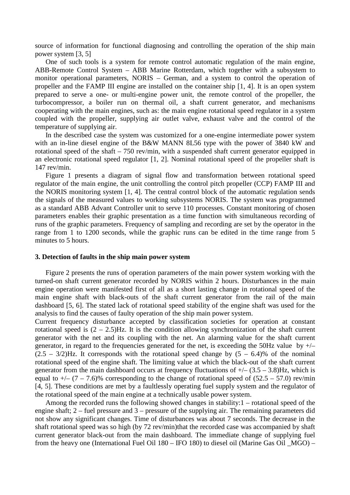source of information for functional diagnosing and controlling the operation of the ship main power system [3, 5]

One of such tools is a system for remote control automatic regulation of the main engine, ABB-Remote Control System – ABB Marine Rotterdam, which together with a subsystem to monitor operational parameters, NORIS – German, and a system to control the operation of propeller and the FAMP III engine are installed on the container ship [1, 4]. It is an open system prepared to serve a one- or multi-engine power unit, the remote control of the propeller, the turbocompressor, a boiler run on thermal oil, a shaft current generator, and mechanisms cooperating with the main engines, such as: the main engine rotational speed regulator in a system coupled with the propeller, supplying air outlet valve, exhaust valve and the control of the temperature of supplying air.

In the described case the system was customized for a one-engine intermediate power system with an in-line diesel engine of the B&W MANN 8L56 type with the power of 3840 kW and rotational speed of the shaft – 750 rev/min, with a suspended shaft current generator equipped in an electronic rotational speed regulator [1, 2]. Nominal rotational speed of the propeller shaft is 147 rev/min.

Figure 1 presents a diagram of signal flow and transformation between rotational speed regulator of the main engine, the unit controlling the control pitch propeller (CCP) FAMP III and the NORIS monitoring system [1, 4]. The central control block of the automatic regulation sends the signals of the measured values to working subsystems NORIS. The system was programmed as a standard ABB Advant Controller unit to serve 110 processes. Constant monitoring of chosen parameters enables their graphic presentation as a time function with simultaneous recording of runs of the graphic parameters. Frequency of sampling and recording are set by the operator in the range from 1 to 1200 seconds, while the graphic runs can be edited in the time range from 5 minutes to 5 hours.

#### **3. Detection of faults in the ship main power system**

Figure 2 presents the runs of operation parameters of the main power system working with the turned-on shaft current generator recorded by NORIS within 2 hours. Disturbances in the main engine operation were manifested first of all as a short lasting change in rotational speed of the main engine shaft with black-outs of the shaft current generator from the rail of the main dashboard [5, 6]. The stated lack of rotational speed stability of the engine shaft was used for the analysis to find the causes of faulty operation of the ship main power system.

Current frequency disturbance accepted by classification societies for operation at constant rotational speed is  $(2 - 2.5)$ Hz. It is the condition allowing synchronization of the shaft current generator with the net and its coupling with the net. An alarming value for the shaft current generator, in regard to the frequencies generated for the net, is exceeding the 50Hz value by  $+\prime$  $(2.5 - 3/2)$ Hz. It corresponds with the rotational speed change by  $(5 - 6.4)$ % of the nominal rotational speed of the engine shaft. The limiting value at which the black-out of the shaft current generator from the main dashboard occurs at frequency fluctuations of  $+/- (3.5 - 3.8)$  Hz, which is equal to  $+$  – (7 – 7.6)% corresponding to the change of rotational speed of (52.5 – 57.0) rev/min [4, 5]. These conditions are met by a faultlessly operating fuel supply system and the regulator of the rotational speed of the main engine at a technically usable power system.

Among the recorded runs the following showed changes in stability:1 – rotational speed of the engine shaft; 2 – fuel pressure and 3 – pressure of the supplying air. The remaining parameters did not show any significant changes. Time of disturbances was about 7 seconds. The decrease in the shaft rotational speed was so high (by 72 rev/min)that the recorded case was accompanied by shaft current generator black-out from the main dashboard. The immediate change of supplying fuel from the heavy one (International Fuel Oil 180 – IFO 180) to diesel oil (Marine Gas Oil \_MGO) –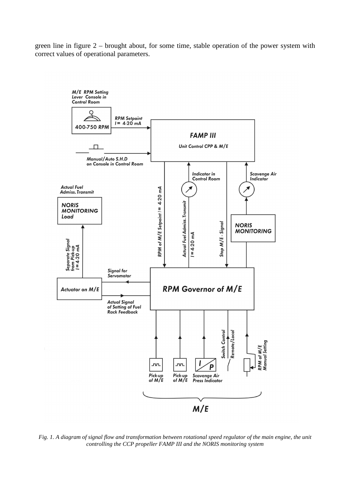green line in figure 2 – brought about, for some time, stable operation of the power system with correct values of operational parameters.



*Fig. 1. A diagram of signal flow and transformation between rotational speed regulator of the main engine, the unit controlling the CCP propeller FAMP III and the NORIS monitoring system*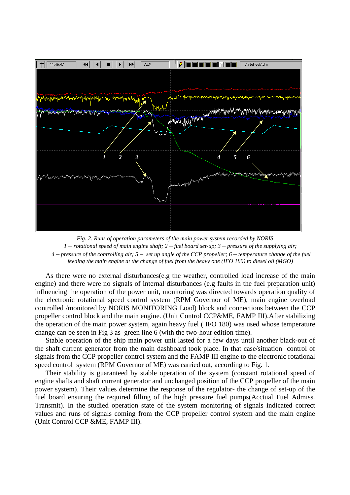

*Fig. 2. Runs of operation parameters of the main power system recorded by NORIS 1 – rotational speed of main engine shaft; 2 – fuel board set-up; 3 – pressure of the supplying air; 4 – pressure of the controlling air; 5 – set up angle of the CCP propeller; 6 – temperature change of the fuel feeding the main engine at the change of fuel from the heavy one (IFO 180) to diesel oil (MGO)* 

As there were no external disturbances(e.g the weather, controlled load increase of the main engine) and there were no signals of internal disturbances (e.g faults in the fuel preparation unit) influencing the operation of the power unit, monitoring was directed towards operation quality of the electronic rotational speed control system (RPM Governor of ME), main engine overload controlled /monitored by NORIS MONITORING Load) block and connections between the CCP propeller control block and the main engine. (Unit Control CCP&ME, FAMP III).After stabilizing the operation of the main power system, again heavy fuel ( IFO 180) was used whose temperature change can be seen in Fig 3 as green line 6 (with the two-hour edition time).

Stable operation of the ship main power unit lasted for a few days until another black-out of the shaft current generator from the main dashboard took place. In that case/situation control of signals from the CCP propeller control system and the FAMP III engine to the electronic rotational speed control system (RPM Governor of ME) was carried out, according to Fig. 1.

Their stability is guaranteed by stable operation of the system (constant rotational speed of engine shafts and shaft current generator and unchanged position of the CCP propeller of the main power system). Their values determine the response of the regulator- the change of set-up of the fuel board ensuring the required filling of the high pressure fuel pumps(Acctual Fuel Admiss. Transmit). In the studied operation state of the system monitoring of signals indicated correct values and runs of signals coming from the CCP propeller control system and the main engine (Unit Control CCP &ME, FAMP III).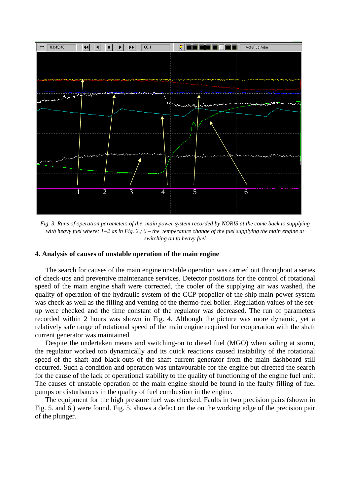

*Fig. 3. Runs of operation parameters of the main power system recorded by NORIS at the come back to supplying with heavy fuel where: 1*–*2 as in Fig. 2.; 6 – the temperature change of the fuel supplying the main engine at switching on to heavy fuel* 

### **4. Analysis of causes of unstable operation of the main engine**

The search for causes of the main engine unstable operation was carried out throughout a series of check-ups and preventive maintenance services. Detector positions for the control of rotational speed of the main engine shaft were corrected, the cooler of the supplying air was washed, the quality of operation of the hydraulic system of the CCP propeller of the ship main power system was check as well as the filling and venting of the thermo-fuel boiler. Regulation values of the setup were checked and the time constant of the regulator was decreased. The run of parameters recorded within 2 hours was shown in Fig. 4. Although the picture was more dynamic, yet a relatively safe range of rotational speed of the main engine required for cooperation with the shaft current generator was maintained

Despite the undertaken means and switching-on to diesel fuel (MGO) when sailing at storm, the regulator worked too dynamically and its quick reactions caused instability of the rotational speed of the shaft and black-outs of the shaft current generator from the main dashboard still occurred. Such a condition and operation was unfavourable for the engine but directed the search for the cause of the lack of operational stability to the quality of functioning of the engine fuel unit. The causes of unstable operation of the main engine should be found in the faulty filling of fuel pumps or disturbances in the quality of fuel combustion in the engine.

The equipment for the high pressure fuel was checked. Faults in two precision pairs (shown in Fig. 5. and 6.) were found. Fig. 5. shows a defect on the on the working edge of the precision pair of the plunger.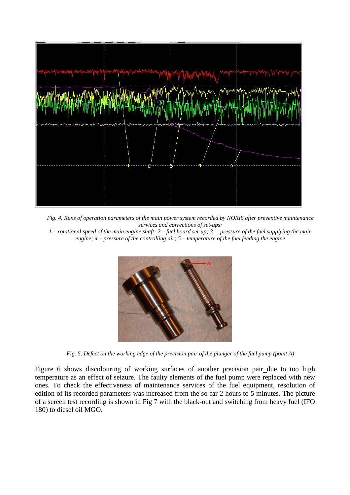

*Fig. 4. Runs of operation parameters of the main power system recorded by NORIS after preventive maintenance services and corrections of set-ups:* 

*1 – rotational speed of the main engine shaft; 2 – fuel board set-up; 3 – pressure of the fuel supplying the main engine; 4 – pressure of the controlling air; 5 – temperature of the fuel feeding the engine* 



*Fig. 5. Defect on the working edge of the precision pair of the plunger of the fuel pump (point A)* 

Figure 6 shows discolouring of working surfaces of another precision pair due to too high temperature as an effect of seizure. The faulty elements of the fuel pump were replaced with new ones. To check the effectiveness of maintenance services of the fuel equipment, resolution of edition of its recorded parameters was increased from the so-far 2 hours to 5 minutes. The picture of a screen test recording is shown in Fig 7 with the black-out and switching from heavy fuel (IFO 180) to diesel oil MGO.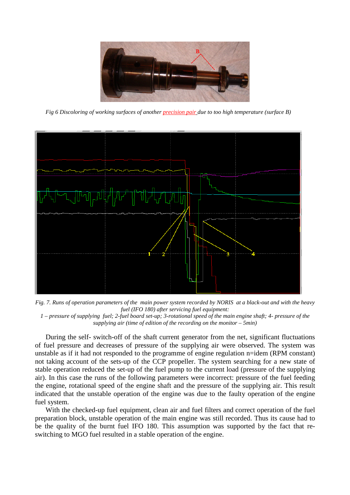

*Fig 6 Discoloring of working surfaces of another precision pair due to too high temperature (surface B)* 



*Fig. 7. Runs of operation parameters of the main power system recorded by NORIS at a black-out and with the heavy fuel (IFO 180) after servicing fuel equipment:* 

*1 – pressure of supplying fuel; 2-fuel board set-up; 3-rotational speed of the main engine shaft; 4- pressure of the supplying air (time of edition of the recording on the monitor – 5min)* 

During the self- switch-off of the shaft current generator from the net, significant fluctuations of fuel pressure and decreases of pressure of the supplying air were observed. The system was unstable as if it had not responded to the programme of engine regulation n=idem (RPM constant) not taking account of the sets-up of the CCP propeller. The system searching for a new state of stable operation reduced the set-up of the fuel pump to the current load (pressure of the supplying air). In this case the runs of the following parameters were incorrect: pressure of the fuel feeding the engine, rotational speed of the engine shaft and the pressure of the supplying air. This result indicated that the unstable operation of the engine was due to the faulty operation of the engine fuel system.

With the checked-up fuel equipment, clean air and fuel filters and correct operation of the fuel preparation block, unstable operation of the main engine was still recorded. Thus its cause had to be the quality of the burnt fuel IFO 180. This assumption was supported by the fact that reswitching to MGO fuel resulted in a stable operation of the engine.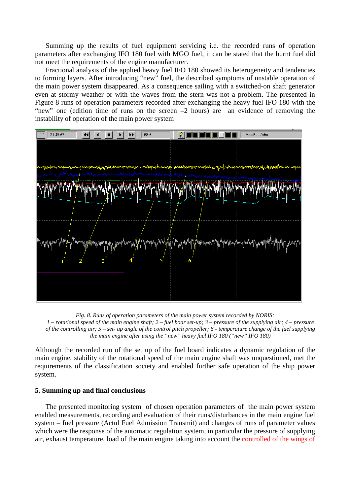Summing up the results of fuel equipment servicing i.e. the recorded runs of operation parameters after exchanging IFO 180 fuel with MGO fuel, it can be stated that the burnt fuel did not meet the requirements of the engine manufacturer.

Fractional analysis of the applied heavy fuel IFO 180 showed its heterogeneity and tendencies to forming layers. After introducing "new" fuel, the described symptoms of unstable operation of the main power system disappeared. As a consequence sailing with a switched-on shaft generator even at stormy weather or with the waves from the stern was not a problem. The presented in Figure 8 runs of operation parameters recorded after exchanging the heavy fuel IFO 180 with the "new" one (edition time of runs on the screen  $-2$  hours) are an evidence of removing the instability of operation of the main power system



*Fig. 8. Runs of operation parameters of the main power system recorded by NORIS: 1 – rotational speed of the main engine shaft; 2 – fuel boar set-up; 3 – pressure of the supplying air; 4 – pressure of the controlling air; 5 – set- up angle of the control pitch propeller; 6 - temperature change of the fuel supplying the main engine after using the "new" heavy fuel IFO 180 ("new" IFO 180)* 

Although the recorded run of the set up of the fuel board indicates a dynamic regulation of the main engine, stability of the rotational speed of the main engine shaft was unquestioned, met the requirements of the classification society and enabled further safe operation of the ship power system.

### **5. Summing up and final conclusions**

The presented monitoring system of chosen operation parameters of the main power system enabled measurements, recording and evaluation of their runs/disturbances in the main engine fuel system – fuel pressure (Actul Fuel Admission Transmit) and changes of runs of parameter values which were the response of the automatic regulation system, in particular the pressure of supplying air, exhaust temperature, load of the main engine taking into account the controlled of the wings of